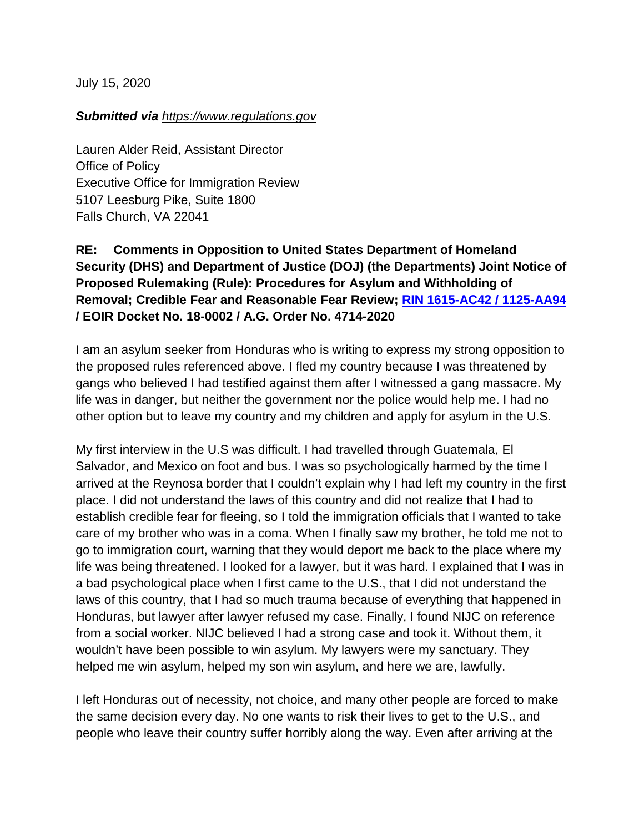July 15, 2020

## *Submitted via https:/[/www.](https://www.regulations.gov/document?D=EOIR-2020-0003-0001)regulations.gov*

Lauren Alder Reid, Assistant Director Office of Policy Executive Office for Immigration Review 5107 Leesburg Pike, Suite 1800 Falls Church, VA 22041

## **RE: Comments in Opposition to United States Department of Homeland Security (DHS) and Department of Justice (DOJ) (the Departments) Joint Notice of Proposed Rulemaking (Rule): Procedures for Asylum and Withholding of Removal; Credible Fear and Reasonable Fear Review; [RIN 1615-AC42 / 1125-AA94](https://www.federalregister.gov/documents/2020/06/15/2020-12575/procedures-for-asylum-and-withholding-of-removal-credible-fear-and-reasonable-fear-review) / EOIR Docket No. 18-0002 / A.G. Order No. 4714-2020**

I am an asylum seeker from Honduras who is writing to express my strong opposition to the proposed rules referenced above. I fled my country because I was threatened by gangs who believed I had testified against them after I witnessed a gang massacre. My life was in danger, but neither the government nor the police would help me. I had no other option but to leave my country and my children and apply for asylum in the U.S.

My first interview in the U.S was difficult. I had travelled through Guatemala, El Salvador, and Mexico on foot and bus. I was so psychologically harmed by the time I arrived at the Reynosa border that I couldn't explain why I had left my country in the first place. I did not understand the laws of this country and did not realize that I had to establish credible fear for fleeing, so I told the immigration officials that I wanted to take care of my brother who was in a coma. When I finally saw my brother, he told me not to go to immigration court, warning that they would deport me back to the place where my life was being threatened. I looked for a lawyer, but it was hard. I explained that I was in a bad psychological place when I first came to the U.S., that I did not understand the laws of this country, that I had so much trauma because of everything that happened in Honduras, but lawyer after lawyer refused my case. Finally, I found NIJC on reference from a social worker. NIJC believed I had a strong case and took it. Without them, it wouldn't have been possible to win asylum. My lawyers were my sanctuary. They helped me win asylum, helped my son win asylum, and here we are, lawfully.

I left Honduras out of necessity, not choice, and many other people are forced to make the same decision every day. No one wants to risk their lives to get to the U.S., and people who leave their country suffer horribly along the way. Even after arriving at the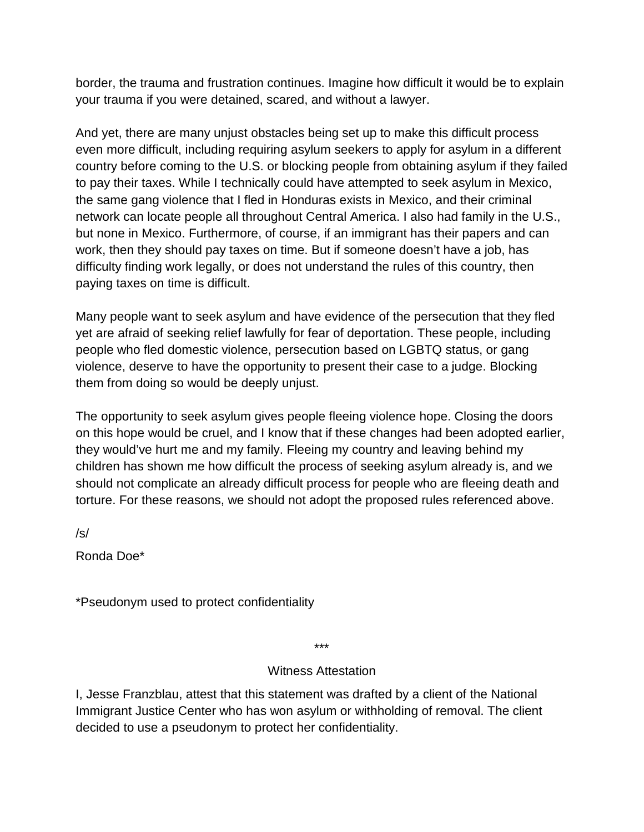border, the trauma and frustration continues. Imagine how difficult it would be to explain your trauma if you were detained, scared, and without a lawyer.

And yet, there are many unjust obstacles being set up to make this difficult process even more difficult, including requiring asylum seekers to apply for asylum in a different country before coming to the U.S. or blocking people from obtaining asylum if they failed to pay their taxes. While I technically could have attempted to seek asylum in Mexico, the same gang violence that I fled in Honduras exists in Mexico, and their criminal network can locate people all throughout Central America. I also had family in the U.S., but none in Mexico. Furthermore, of course, if an immigrant has their papers and can work, then they should pay taxes on time. But if someone doesn't have a job, has difficulty finding work legally, or does not understand the rules of this country, then paying taxes on time is difficult.

Many people want to seek asylum and have evidence of the persecution that they fled yet are afraid of seeking relief lawfully for fear of deportation. These people, including people who fled domestic violence, persecution based on LGBTQ status, or gang violence, deserve to have the opportunity to present their case to a judge. Blocking them from doing so would be deeply unjust.

The opportunity to seek asylum gives people fleeing violence hope. Closing the doors on this hope would be cruel, and I know that if these changes had been adopted earlier, they would've hurt me and my family. Fleeing my country and leaving behind my children has shown me how difficult the process of seeking asylum already is, and we should not complicate an already difficult process for people who are fleeing death and torture. For these reasons, we should not adopt the proposed rules referenced above.

/s/

Ronda Doe\*

\*Pseudonym used to protect confidentiality

\*\*\*

## Witness Attestation

I, Jesse Franzblau, attest that this statement was drafted by a client of the National Immigrant Justice Center who has won asylum or withholding of removal. The client decided to use a pseudonym to protect her confidentiality.